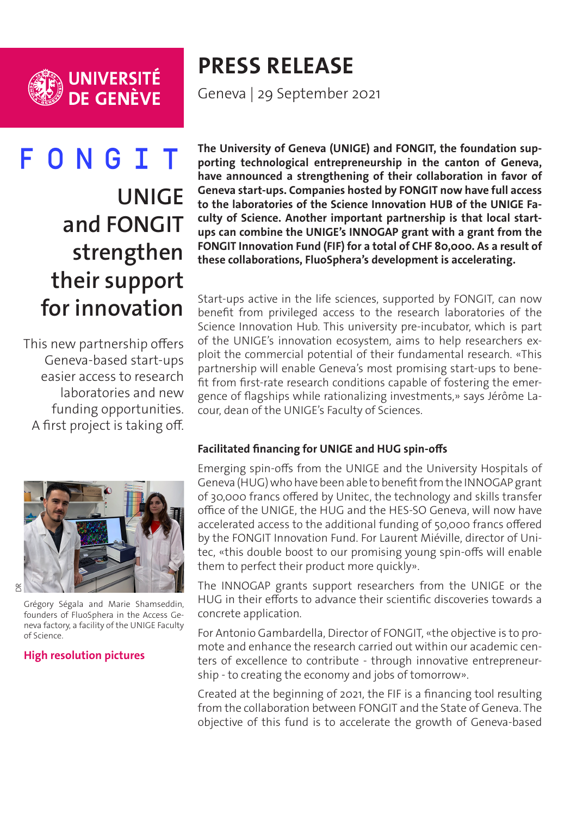

# ONGIT F **UNIGE and FONGIT strengthen their support for innovation**

This new partnership offers Geneva-based start-ups easier access to research laboratories and new funding opportunities. A first project is taking off.

# **The University of Geneva (UNIGE) and FONGIT, the foundation supporting technological entrepreneurship in the canton of Geneva, have announced a strengthening of their collaboration in favor of Geneva start-ups. Companies hosted by FONGIT now have full access to the laboratories of the Science Innovation HUB of the UNIGE Faculty of Science. Another important partnership is that local startups can combine the UNIGE's INNOGAP grant with a grant from the FONGIT Innovation Fund (FIF) for a total of CHF 80,000. As a result of these collaborations, FluoSphera's development is accelerating.**

Start-ups active in the life sciences, supported by FONGIT, can now benefit from privileged access to the research laboratories of the Science Innovation Hub. This university pre-incubator, which is part of the UNIGE's innovation ecosystem, aims to help researchers exploit the commercial potential of their fundamental research. «This partnership will enable Geneva's most promising start-ups to benefit from first-rate research conditions capable of fostering the emergence of flagships while rationalizing investments,» says Jérôme Lacour, dean of the UNIGE's Faculty of Sciences.



Emerging spin-offs from the UNIGE and the University Hospitals of Geneva (HUG) who have been able to benefit from the INNOGAP grant of 30,000 francs offered by Unitec, the technology and skills transfer office of the UNIGE, the HUG and the HES-SO Geneva, will now have accelerated access to the additional funding of 50,000 francs offered by the FONGIT Innovation Fund. For Laurent Miéville, director of Unitec, «this double boost to our promising young spin-offs will enable them to perfect their product more quickly».

The INNOGAP grants support researchers from the UNIGE or the HUG in their efforts to advance their scientific discoveries towards a concrete application.

For Antonio Gambardella, Director of FONGIT, «the objective is to promote and enhance the research carried out within our academic centers of excellence to contribute - through innovative entrepreneurship - to creating the economy and jobs of tomorrow».

Created at the beginning of 2021, the FIF is a financing tool resulting from the collaboration between FONGIT and the State of Geneva. The objective of this fund is to accelerate the growth of Geneva-based



Grégory Ségala and Marie Shamseddin, founders of FluoSphera in the Access Geneva factory, a facility of the UNIGE Faculty of Science.

# **[High resolution pictures](https://phototheque.unige.ch/documents/facets?newFacet=mot.cle.marc%3DCdP_210929_Unige_Fongit&clearFacets=1)**

**PRESS RELEASE**

Geneva | 29 September 2021